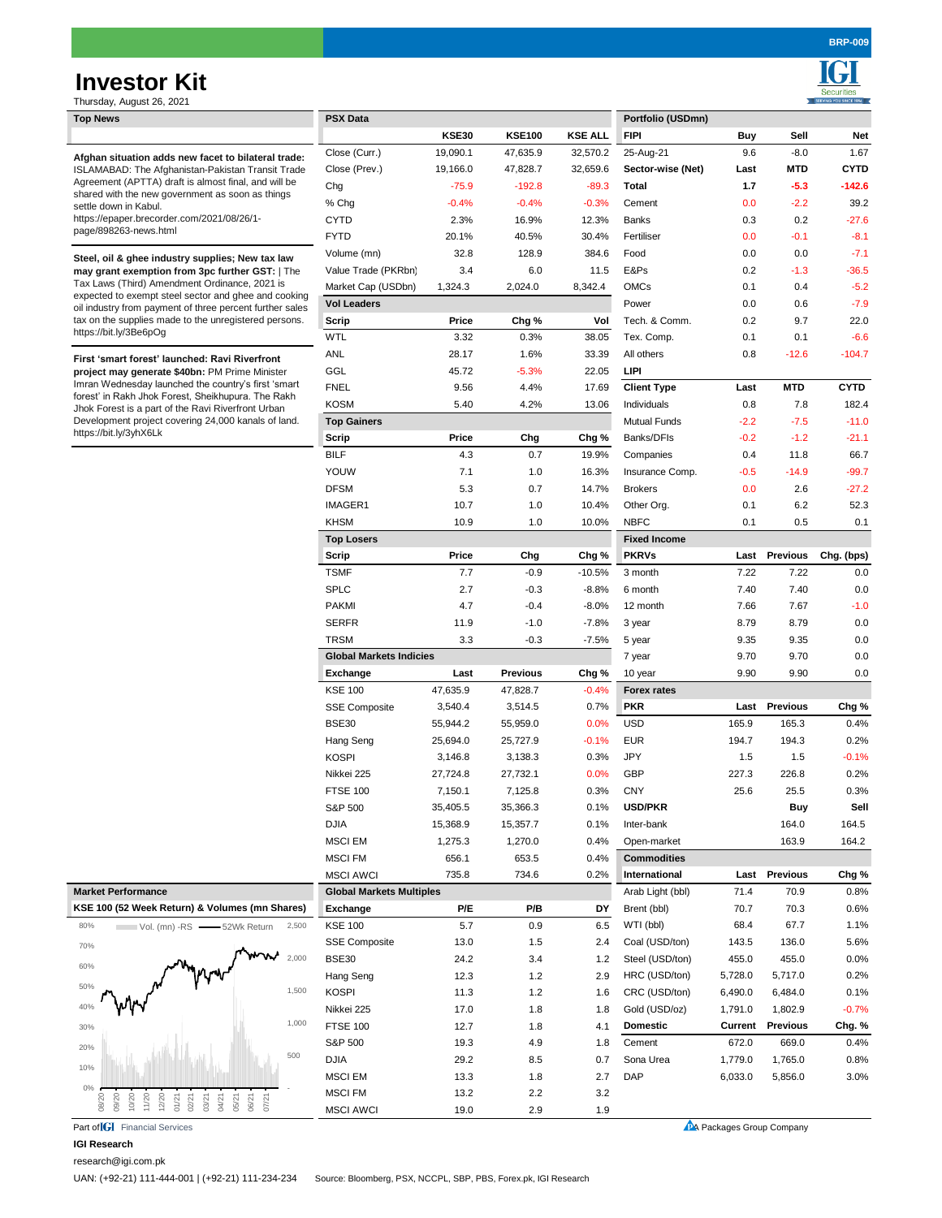# **Investor Kit**

Securities

| Thursday, August 26, 2021                                                                                                                                                                                                                                                                                                                                   |                                 |              |                 |                |                     |                           |                 |             |
|-------------------------------------------------------------------------------------------------------------------------------------------------------------------------------------------------------------------------------------------------------------------------------------------------------------------------------------------------------------|---------------------------------|--------------|-----------------|----------------|---------------------|---------------------------|-----------------|-------------|
| <b>Top News</b>                                                                                                                                                                                                                                                                                                                                             | <b>PSX Data</b>                 |              |                 |                | Portfolio (USDmn)   |                           |                 |             |
|                                                                                                                                                                                                                                                                                                                                                             |                                 | <b>KSE30</b> | <b>KSE100</b>   | <b>KSE ALL</b> | <b>FIPI</b>         | Buy                       | Sell            | Net         |
| Afghan situation adds new facet to bilateral trade:<br>ISLAMABAD: The Afghanistan-Pakistan Transit Trade                                                                                                                                                                                                                                                    | Close (Curr.)                   | 19,090.1     | 47,635.9        | 32,570.2       | 25-Aug-21           | 9.6                       | $-8.0$          | 1.67        |
|                                                                                                                                                                                                                                                                                                                                                             | Close (Prev.)                   | 19,166.0     | 47,828.7        | 32,659.6       | Sector-wise (Net)   | Last                      | MTD             | <b>CYTD</b> |
| Agreement (APTTA) draft is almost final, and will be                                                                                                                                                                                                                                                                                                        | Chg                             | $-75.9$      | $-192.8$        | $-89.3$        | Total               | 1.7                       | $-5.3$          | $-142.6$    |
| shared with the new government as soon as things<br>settle down in Kabul.                                                                                                                                                                                                                                                                                   | % Chg                           | $-0.4%$      | $-0.4%$         | $-0.3%$        | Cement              | 0.0                       | $-2.2$          | 39.2        |
| https://epaper.brecorder.com/2021/08/26/1-                                                                                                                                                                                                                                                                                                                  | CYTD                            | 2.3%         | 16.9%           | 12.3%          | <b>Banks</b>        | 0.3                       | 0.2             | $-27.6$     |
| page/898263-news.html                                                                                                                                                                                                                                                                                                                                       | <b>FYTD</b>                     | 20.1%        | 40.5%           | 30.4%          | Fertiliser          | 0.0                       | $-0.1$          | $-8.1$      |
|                                                                                                                                                                                                                                                                                                                                                             | Volume (mn)                     | 32.8         | 128.9           | 384.6          | Food                | 0.0                       | 0.0             | $-7.1$      |
| Steel, oil & ghee industry supplies; New tax law<br>may grant exemption from 3pc further GST:   The<br>Tax Laws (Third) Amendment Ordinance, 2021 is<br>expected to exempt steel sector and ghee and cooking<br>oil industry from payment of three percent further sales<br>tax on the supplies made to the unregistered persons.<br>https://bit.ly/3Be6pOg | Value Trade (PKRbn)             | 3.4          | 6.0             | 11.5           | E&Ps                | 0.2                       | $-1.3$          | $-36.5$     |
|                                                                                                                                                                                                                                                                                                                                                             |                                 |              |                 | 8,342.4        | <b>OMCs</b>         | 0.1                       | 0.4             | $-5.2$      |
|                                                                                                                                                                                                                                                                                                                                                             | Market Cap (USDbn)              | 1,324.3      | 2,024.0         |                |                     |                           |                 |             |
|                                                                                                                                                                                                                                                                                                                                                             | <b>Vol Leaders</b>              |              |                 |                | Power               | 0.0                       | 0.6             | $-7.9$      |
|                                                                                                                                                                                                                                                                                                                                                             | Scrip                           | Price        | Chg %           | Vol            | Tech. & Comm.       | 0.2                       | 9.7             | 22.0        |
|                                                                                                                                                                                                                                                                                                                                                             | <b>WTL</b>                      | 3.32         | 0.3%            | 38.05          | Tex. Comp.          | 0.1                       | 0.1             | $-6.6$      |
| First 'smart forest' launched: Ravi Riverfront<br>project may generate \$40bn: PM Prime Minister<br>Imran Wednesday launched the country's first 'smart<br>forest' in Rakh Jhok Forest, Sheikhupura. The Rakh<br>Jhok Forest is a part of the Ravi Riverfront Urban<br>Development project covering 24,000 kanals of land.<br>https://bit.ly/3yhX6Lk        | ANL                             | 28.17        | 1.6%            | 33.39          | All others          | 0.8                       | $-12.6$         | $-104.7$    |
|                                                                                                                                                                                                                                                                                                                                                             | GGL                             | 45.72        | $-5.3%$         | 22.05          | <b>LIPI</b>         |                           |                 |             |
|                                                                                                                                                                                                                                                                                                                                                             | <b>FNEL</b>                     | 9.56         | 4.4%            | 17.69          | <b>Client Type</b>  | Last                      | <b>MTD</b>      | <b>CYTD</b> |
|                                                                                                                                                                                                                                                                                                                                                             | <b>KOSM</b>                     | 5.40         | 4.2%            | 13.06          | Individuals         | 0.8                       | 7.8             | 182.4       |
|                                                                                                                                                                                                                                                                                                                                                             | <b>Top Gainers</b>              |              |                 |                | <b>Mutual Funds</b> | $-2.2$                    | $-7.5$          | $-11.0$     |
|                                                                                                                                                                                                                                                                                                                                                             | Scrip                           | Price        | Chg             | Chg %          | Banks/DFIs          | $-0.2$                    | $-1.2$          | $-21.1$     |
|                                                                                                                                                                                                                                                                                                                                                             | <b>BILF</b>                     | 4.3          | 0.7             | 19.9%          | Companies           | 0.4                       | 11.8            | 66.7        |
|                                                                                                                                                                                                                                                                                                                                                             | YOUW                            | 7.1          | 1.0             | 16.3%          | Insurance Comp.     | $-0.5$                    | $-14.9$         | $-99.7$     |
|                                                                                                                                                                                                                                                                                                                                                             | <b>DFSM</b>                     | 5.3          | 0.7             | 14.7%          | <b>Brokers</b>      | 0.0                       | 2.6             | $-27.2$     |
|                                                                                                                                                                                                                                                                                                                                                             | IMAGER1                         | 10.7         | 1.0             | 10.4%          | Other Org.          |                           | 6.2             | 52.3        |
|                                                                                                                                                                                                                                                                                                                                                             |                                 |              |                 |                |                     | 0.1                       |                 |             |
|                                                                                                                                                                                                                                                                                                                                                             | <b>KHSM</b>                     | 10.9         | 1.0             | 10.0%          | <b>NBFC</b>         | 0.1                       | 0.5             | 0.1         |
|                                                                                                                                                                                                                                                                                                                                                             | <b>Top Losers</b>               |              |                 |                | <b>Fixed Income</b> |                           |                 |             |
|                                                                                                                                                                                                                                                                                                                                                             | Scrip                           | Price        | Chg             | Chg %          | <b>PKRVs</b>        | Last                      | <b>Previous</b> | Chg. (bps)  |
|                                                                                                                                                                                                                                                                                                                                                             | <b>TSMF</b>                     | 7.7          | $-0.9$          | $-10.5%$       | 3 month             | 7.22                      | 7.22            | 0.0         |
|                                                                                                                                                                                                                                                                                                                                                             | <b>SPLC</b>                     | 2.7          | $-0.3$          | $-8.8%$        | 6 month             | 7.40                      | 7.40            | 0.0         |
|                                                                                                                                                                                                                                                                                                                                                             | <b>PAKMI</b>                    | 4.7          | $-0.4$          | $-8.0%$        | 12 month            | 7.66                      | 7.67            | $-1.0$      |
|                                                                                                                                                                                                                                                                                                                                                             | <b>SERFR</b>                    | 11.9         | $-1.0$          | $-7.8%$        | 3 year              | 8.79                      | 8.79            | 0.0         |
|                                                                                                                                                                                                                                                                                                                                                             | <b>TRSM</b>                     | 3.3          | $-0.3$          | $-7.5%$        | 5 year              | 9.35                      | 9.35            | 0.0         |
|                                                                                                                                                                                                                                                                                                                                                             | <b>Global Markets Indicies</b>  |              |                 |                | 7 year              | 9.70                      | 9.70            | 0.0         |
|                                                                                                                                                                                                                                                                                                                                                             | Exchange                        | Last         | <b>Previous</b> | Chg %          | 10 year             | 9.90                      | 9.90            | 0.0         |
|                                                                                                                                                                                                                                                                                                                                                             | <b>KSE 100</b>                  | 47,635.9     | 47,828.7        | $-0.4%$        | <b>Forex rates</b>  |                           |                 |             |
|                                                                                                                                                                                                                                                                                                                                                             | <b>SSE Composite</b>            | 3,540.4      | 3,514.5         | 0.7%           | <b>PKR</b>          | Last                      | <b>Previous</b> | Chg %       |
|                                                                                                                                                                                                                                                                                                                                                             | <b>BSE30</b>                    | 55,944.2     | 55,959.0        | 0.0%           | <b>USD</b>          | 165.9                     | 165.3           | 0.4%        |
|                                                                                                                                                                                                                                                                                                                                                             |                                 | 25,694.0     | 25,727.9        | $-0.1%$        | <b>EUR</b>          | 194.7                     | 194.3           | 0.2%        |
|                                                                                                                                                                                                                                                                                                                                                             | Hang Seng                       |              |                 |                |                     |                           |                 |             |
|                                                                                                                                                                                                                                                                                                                                                             | <b>KOSPI</b>                    | 3,146.8      | 3,138.3         | 0.3%           | <b>JPY</b>          | 1.5                       | 1.5             | $-0.1%$     |
|                                                                                                                                                                                                                                                                                                                                                             | Nikkei 225                      | 27,724.8     | 27,732.1        | 0.0%           | <b>GBP</b>          | 227.3                     | 226.8           | 0.2%        |
|                                                                                                                                                                                                                                                                                                                                                             | <b>FTSE 100</b>                 | 7,150.1      | 7,125.8         | 0.3%           | <b>CNY</b>          | 25.6                      | 25.5            | 0.3%        |
|                                                                                                                                                                                                                                                                                                                                                             | S&P 500                         | 35,405.5     | 35,366.3        | 0.1%           | <b>USD/PKR</b>      |                           | <b>Buy</b>      | Sell        |
|                                                                                                                                                                                                                                                                                                                                                             | <b>DJIA</b>                     | 15,368.9     | 15,357.7        | 0.1%           | Inter-bank          |                           | 164.0           | 164.5       |
|                                                                                                                                                                                                                                                                                                                                                             | <b>MSCI EM</b>                  | 1,275.3      | 1,270.0         | 0.4%           | Open-market         |                           | 163.9           | 164.2       |
|                                                                                                                                                                                                                                                                                                                                                             | <b>MSCI FM</b>                  | 656.1        | 653.5           | 0.4%           | <b>Commodities</b>  |                           |                 |             |
|                                                                                                                                                                                                                                                                                                                                                             | <b>MSCI AWCI</b>                | 735.8        | 734.6           | 0.2%           | International       | Last                      | <b>Previous</b> | Chg %       |
| <b>Market Performance</b>                                                                                                                                                                                                                                                                                                                                   | <b>Global Markets Multiples</b> |              |                 |                | Arab Light (bbl)    | 71.4                      | 70.9            | 0.8%        |
| KSE 100 (52 Week Return) & Volumes (mn Shares)                                                                                                                                                                                                                                                                                                              | Exchange                        | P/E          | P/B             | DY             | Brent (bbl)         | 70.7                      | 70.3            | 0.6%        |
| 80%<br>2,500<br>Vol. (mn) -RS - 52Wk Return                                                                                                                                                                                                                                                                                                                 | <b>KSE 100</b>                  | 5.7          | 0.9             | 6.5            | WTI (bbl)           | 68.4                      | 67.7            | 1.1%        |
|                                                                                                                                                                                                                                                                                                                                                             | <b>SSE Composite</b>            | 13.0         | 1.5             | 2.4            | Coal (USD/ton)      | 143.5                     | 136.0           | 5.6%        |
| 70%<br>2,000                                                                                                                                                                                                                                                                                                                                                | <b>BSE30</b>                    | 24.2         | 3.4             | 1.2            | Steel (USD/ton)     | 455.0                     | 455.0           | 0.0%        |
| 60%                                                                                                                                                                                                                                                                                                                                                         |                                 |              |                 |                |                     |                           |                 |             |
| 50%<br>1,500                                                                                                                                                                                                                                                                                                                                                | Hang Seng                       | 12.3         | 1.2             | 2.9            | HRC (USD/ton)       | 5,728.0                   | 5,717.0         | 0.2%        |
|                                                                                                                                                                                                                                                                                                                                                             | <b>KOSPI</b>                    | 11.3         | 1.2             | 1.6            | CRC (USD/ton)       | 6,490.0                   | 6,484.0         | 0.1%        |
| 40%                                                                                                                                                                                                                                                                                                                                                         | Nikkei 225                      | 17.0         | 1.8             | 1.8            | Gold (USD/oz)       | 1,791.0                   | 1,802.9         | $-0.7%$     |
| 1,000<br>30%                                                                                                                                                                                                                                                                                                                                                | <b>FTSE 100</b>                 | 12.7         | 1.8             | 4.1            | <b>Domestic</b>     | Current                   | <b>Previous</b> | Chg. %      |
| 20%                                                                                                                                                                                                                                                                                                                                                         | S&P 500                         | 19.3         | 4.9             | 1.8            | Cement              | 672.0                     | 669.0           | 0.4%        |
| 500<br>10%                                                                                                                                                                                                                                                                                                                                                  | <b>DJIA</b>                     | 29.2         | 8.5             | 0.7            | Sona Urea           | 1,779.0                   | 1,765.0         | 0.8%        |
|                                                                                                                                                                                                                                                                                                                                                             | <b>MSCI EM</b>                  | 13.3         | 1.8             | 2.7            | <b>DAP</b>          | 6,033.0                   | 5,856.0         | 3.0%        |
| 0%                                                                                                                                                                                                                                                                                                                                                          | <b>MSCI FM</b>                  | 13.2         | 2.2             | 3.2            |                     |                           |                 |             |
| 11/20<br>12/20<br>08/20<br>09/20<br>10/20<br>06/21<br>07/21<br>01/21<br>02/21<br>03/21<br>04/21<br>05/21                                                                                                                                                                                                                                                    | <b>MSCI AWCI</b>                | 19.0         | 2.9             | 1.9            |                     |                           |                 |             |
| Part of <b>IGI</b> Financial Services                                                                                                                                                                                                                                                                                                                       |                                 |              |                 |                |                     | PA Packages Group Company |                 |             |

### **IGI Research**